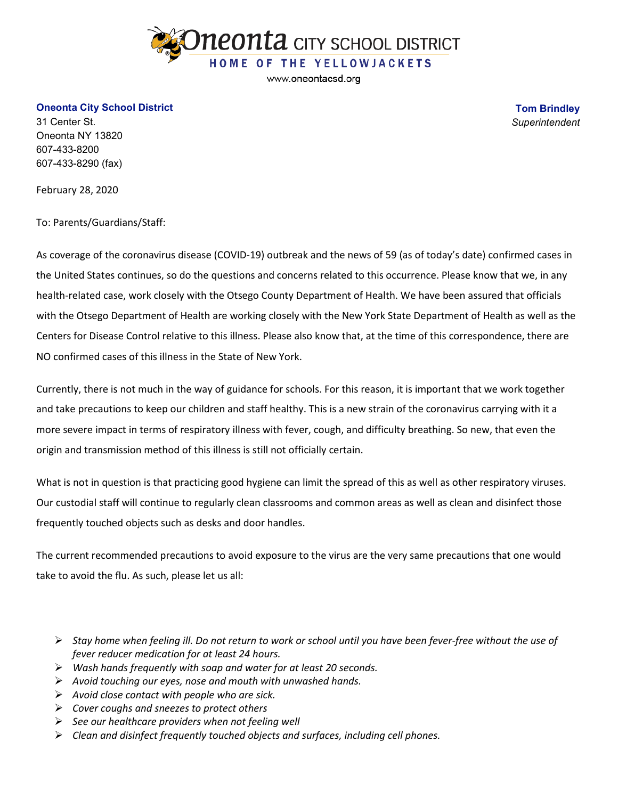

www.oneontacsd.org

## **Oneonta City School District**

31 Center St. Oneonta NY 13820 607-433-8200 607-433-8290 (fax)

**Tom Brindley** *Superintendent*

February 28, 2020

To: Parents/Guardians/Staff:

As coverage of the coronavirus disease (COVID-19) outbreak and the news of 59 (as of today's date) confirmed cases in the United States continues, so do the questions and concerns related to this occurrence. Please know that we, in any health-related case, work closely with the Otsego County Department of Health. We have been assured that officials with the Otsego Department of Health are working closely with the New York State Department of Health as well as the Centers for Disease Control relative to this illness. Please also know that, at the time of this correspondence, there are NO confirmed cases of this illness in the State of New York.

Currently, there is not much in the way of guidance for schools. For this reason, it is important that we work together and take precautions to keep our children and staff healthy. This is a new strain of the coronavirus carrying with it a more severe impact in terms of respiratory illness with fever, cough, and difficulty breathing. So new, that even the origin and transmission method of this illness is still not officially certain.

What is not in question is that practicing good hygiene can limit the spread of this as well as other respiratory viruses. Our custodial staff will continue to regularly clean classrooms and common areas as well as clean and disinfect those frequently touched objects such as desks and door handles.

The current recommended precautions to avoid exposure to the virus are the very same precautions that one would take to avoid the flu. As such, please let us all:

- *Stay home when feeling ill. Do not return to work or school until you have been fever-free without the use of fever reducer medication for at least 24 hours.*
- *Wash hands frequently with soap and water for at least 20 seconds.*
- *Avoid touching our eyes, nose and mouth with unwashed hands.*
- *Avoid close contact with people who are sick.*
- *Cover coughs and sneezes to protect others*
- *See our healthcare providers when not feeling well*
- *Clean and disinfect frequently touched objects and surfaces, including cell phones.*